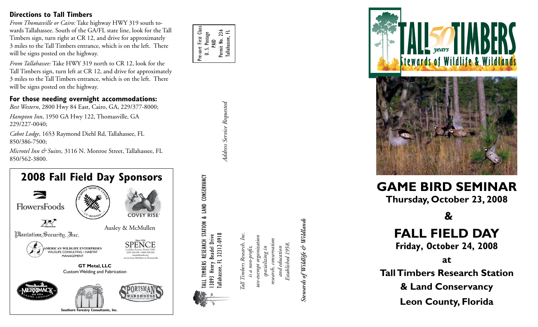#### **Directions to Tall Timbers**

*From Thomasville or Cairo:* Take highway HWY 319 south to wards Tallahassee. South of the GA/FL state line, look for the Tall Timbers sign, turn right at CR 12, and drive for approximately 3 miles to the Tall Timbers entrance, which is on the left. There will be signs posted on the highway.

*From Tallahassee:* Take HWY 319 north to CR 12, look for the Tall Timbers sign, turn left at CR 12, and drive for approximately 3 miles to the Tall Timbers entrance, which is on the left. There will be signs posted on the highway.

#### **For those needing overnight accommodations:**

*Best Western*, 2800 Hwy 84 East, Cairo, GA, 229/377-8000;

*Hampton Inn*, 1950 GA Hwy 122, Thomasville, GA 229/227-0040;

*Cabot Lodge*, 1653 Raymond Diehl Rd, Tallahassee, FL 850/386-7500;

*Microtel Inn & Suites,* 3116 N. Monroe Street, Tallahassee, FL 850/562-3800.



Pre-sort First Class Pre-sort First Class U. S. Postage Permit No. 236 Permit No. 236 Tallahassee, FL Tallahassee, FL PAID

> Address Service Requested *Address Service Requested*

TALL TIMBERS RESEARCH STATION & LAND CONSERVANCY

ALL TIMBERS RESEARCH STATION & LAND CONSERVANCY

13093 Henry Beadel Drive Tallahassee, FL 32312-0918

3093 Henry Beadel Drive<br>
allahassee, FL 32312-0918

*Tall Timbers Research, Inc. tax-exempt organization research, conservation* Tall Timbers Research, tax-exempt organizat esearch, conservatio *is a non-profit,*  is a non-profit, and education specializing in *specializing in and education*

*Stewards of Wildlife & Wildlands* Stewards of Wildlife & Wildlands

*Established 1958.*

Established 1958.



# **GAME BIRD SEMINAR**

**Thursday, October 23, 2008**

# **&**

## **FALL FIELD DAY**

**Friday, October 24, 2008**

**at**

**Tall Timbers Research Station & Land Conservancy Leon County, Florida**